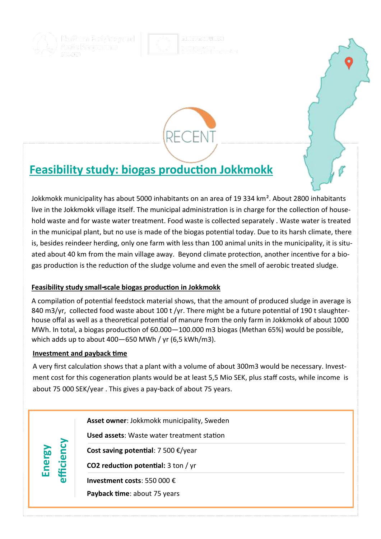



# **Feasibility study: biogas production Jokkmokk**

Jokkmokk municipality has about 5000 inhabitants on an area of 19 334 km². About 2800 inhabitants live in the Jokkmokk village itself. The municipal administration is in charge for the collection of household waste and for waste water treatment. Food waste is collected separately . Waste water is treated in the municipal plant, but no use is made of the biogas potential today. Due to its harsh climate, there is, besides reindeer herding, only one farm with less than 100 animal units in the municipality, it is situated about 40 km from the main village away. Beyond climate protection, another incentive for a biogas production is the reduction of the sludge volume and even the smell of aerobic treated sludge.

## **Feasibility study small-scale biogas production in Jokkmokk**

A compilation of potential feedstock material shows, that the amount of produced sludge in average is 840 m3/yr, collected food waste about 100 t/yr. There might be a future potential of 190 t slaughterhouse offal as well as a theoretical potential of manure from the only farm in Jokkmokk of about 1000 MWh. In total, a biogas production of 60.000—100.000 m3 biogas (Methan 65%) would be possible, which adds up to about 400—650 MWh / yr (6,5 kWh/m3).

### **Investment and payback time**

**Energy**<br>fficiency

A very first calculation shows that a plant with a volume of about 300m3 would be necessary. Investment cost for this cogeneration plants would be at least 5,5 Mio SEK, plus staff costs, while income is about 75 000 SEK/year . This gives a pay-back of about 75 years.

**Asset owner**: Jokkmokk municipality, Sweden

**Used assets**: Waste water treatment station

**Cost saving potential**: 7 500 €/year

**CO2 reduction potential:** 3 ton / yr

**Investment costs**: 550 000 €

**Payback time**: about 75 years